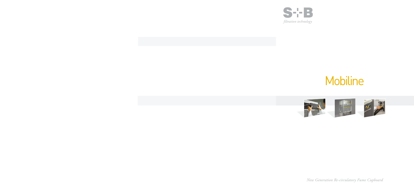

# Mobiline



*New Generation Re-circulatory Fume Cupboard*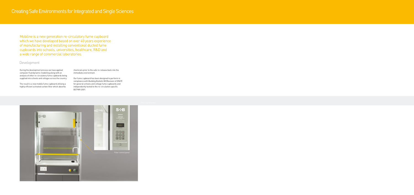Mobiline is a new generation re-circulatory fume cupboard which we have developed based on over 40 years experience of manufacturing and installing conventional ducted fume cupboards into schools, universities, healthcare, R&D and a wide range of commercial laboratories.

### Development

During the development process we have applied computer fluid dynamic modelling along with an analysis of other re-circulatory fume cupboards being supplied into schools and colleges across the country.

The result is a new mobile fume cupboard utilising a highly efficient activated carbon filter which absorbs

chemicals prior to the safe re-release back into the immediate environment.

Our fume cupboard has been designed to perform in compliance with Building Bulletin 88 (Revision of DN29) for general schools and college fume cupboards and independently tested to the re-circulation specific BS7989:2001.

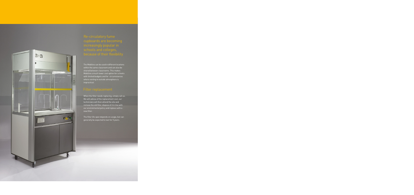

cupboards are becoming increasingly popular in schools and colleges,

The Mobiline can be used in different locations within the same classroom and can also be shared between classrooms. This makes Mobiline a much lower cost option for schools with limited budgets and for circumstances where venting to outside atmosphere is impractical.

When the filter needs replacing, simply call us. We will advise of the replacement cost, our technicians will then attend the site and remove the old filter, dispose of it in line with our environmental policy and replace with a new filter.

The filter life span depends on usage, but can generally be expected to last for 5 years.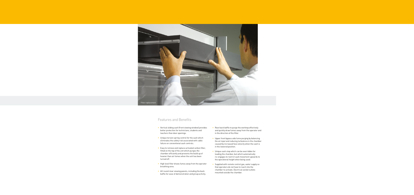

## Features and Benefits

- Vertical sliding sash (front viewing window) provides better protection for technicians, students and teachers than door openings.
- Unique torsion spring control for the sash which eliminates the safety risk associated with cable failure on conventional sash controls.
- Easy to remove and replace activated carbon filter, fitted on the top of the unit which purges the chamber efficiently and prevents the build up of heavier than air fumes when the unit has been turned off.
- High level filter draws fumes away from the operator breathing zone.
- All round clear viewing panels, including the back baffle for ease of demonstration and group activity.
- Rear back baffle to purge the worktop effectively and quickly draw fumes away from the operator and in the direction of the filter.
- Upper front bypass aids fume purging by balancing the air input and reducing turbulence in the chamber caused by increased face velocity when the sash is in the lowered position.
- Unique sash stop which can be overridden for loading the chamber, but which automatically re-engages to restrict sash movement upwards to the operational height when being used.
- Supplied with remote control gas, water supply so that operators do not have to reach into the chamber to activate. Electrical socket outlets mounted outside the chamber.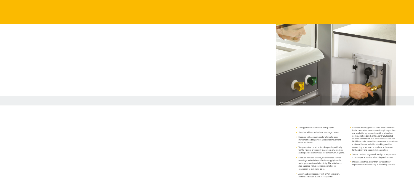

- Energy efficient interior LED strip lights.
- Supplied with an under bench storage cabinet.
- Supplied with lockable castors for safe, easy movement and to prevent accidental movement when not in use.
- Tough durable construction designed specifically for the rigours of the daily classroom environment and exposure to chemicals for a minimum 25 years.
- Supplied with self closing, quick release service couplings and reinforced flexible supply lines for water, gas, waste and electricity. The Mobiline is also supplied with a restraining anchor for connection to a docking point.
- Alarm and control panel with on/off activation, audible and visual alarm for fan/air fail.
- Services docking point can be fixed anywhere in the room where mains services pick up points are available, e.g. against a wall, to a teachers demonstration bench or to a centrally located student workstation. It is often the case that the Mobiline can be stored in a convenient place within a lab and then wheeled to a docking point for connecting to services elsewhere in the room for flexibility and ease of demonstration.
- Smart, modern, ergonomic design to help create a contemporary science learning environment.
- Maintenance free, other than periodic filter replacement and servicing of the utility controls.